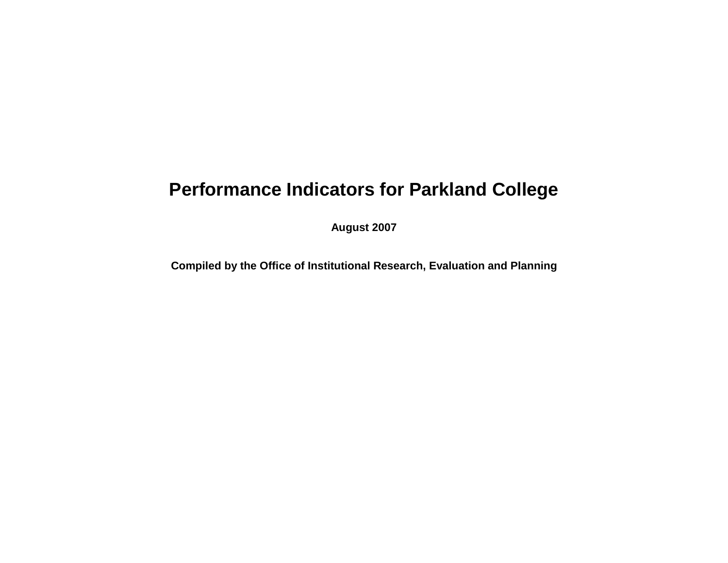## **Performance Indicators for Parkland College**

**August 2007**

**Compiled by the Office of Institutional Research, Evaluation and Planning**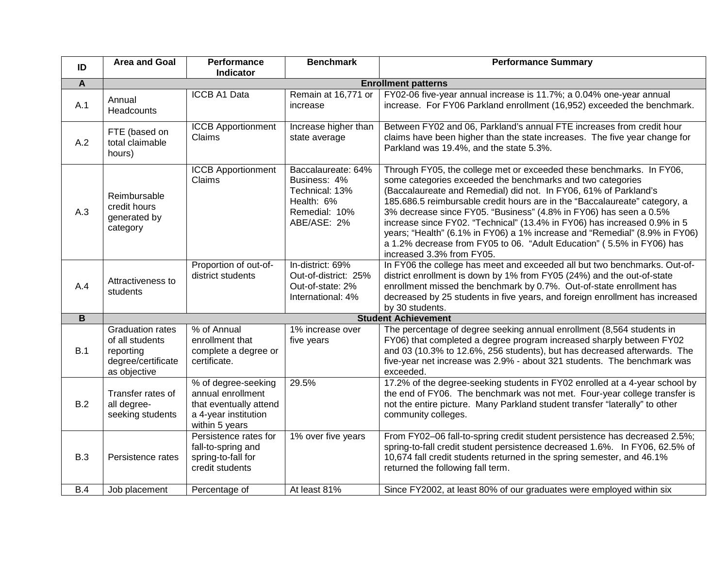| ID             | <b>Area and Goal</b>                                                                          | Performance<br><b>Indicator</b>                                                                              | <b>Benchmark</b>                                                                                   | <b>Performance Summary</b>                                                                                                                                                                                                                                                                                                                                                                                                                                                                                                                                                                                                |
|----------------|-----------------------------------------------------------------------------------------------|--------------------------------------------------------------------------------------------------------------|----------------------------------------------------------------------------------------------------|---------------------------------------------------------------------------------------------------------------------------------------------------------------------------------------------------------------------------------------------------------------------------------------------------------------------------------------------------------------------------------------------------------------------------------------------------------------------------------------------------------------------------------------------------------------------------------------------------------------------------|
| A              | <b>Enrollment patterns</b>                                                                    |                                                                                                              |                                                                                                    |                                                                                                                                                                                                                                                                                                                                                                                                                                                                                                                                                                                                                           |
| A.1            | Annual<br>Headcounts                                                                          | ICCB A1 Data                                                                                                 | Remain at 16,771 or<br>increase                                                                    | FY02-06 five-year annual increase is 11.7%; a 0.04% one-year annual<br>increase. For FY06 Parkland enrollment (16,952) exceeded the benchmark.                                                                                                                                                                                                                                                                                                                                                                                                                                                                            |
| A.2            | FTE (based on<br>total claimable<br>hours)                                                    | <b>ICCB Apportionment</b><br>Claims                                                                          | Increase higher than<br>state average                                                              | Between FY02 and 06, Parkland's annual FTE increases from credit hour<br>claims have been higher than the state increases. The five year change for<br>Parkland was 19.4%, and the state 5.3%.                                                                                                                                                                                                                                                                                                                                                                                                                            |
| A.3            | Reimbursable<br>credit hours<br>generated by<br>category                                      | <b>ICCB Apportionment</b><br>Claims                                                                          | Baccalaureate: 64%<br>Business: 4%<br>Technical: 13%<br>Health: 6%<br>Remedial: 10%<br>ABE/ASE: 2% | Through FY05, the college met or exceeded these benchmarks. In FY06,<br>some categories exceeded the benchmarks and two categories<br>(Baccalaureate and Remedial) did not. In FY06, 61% of Parkland's<br>185.686.5 reimbursable credit hours are in the "Baccalaureate" category, a<br>3% decrease since FY05. "Business" (4.8% in FY06) has seen a 0.5%<br>increase since FY02. "Technical" (13.4% in FY06) has increased 0.9% in 5<br>years; "Health" (6.1% in FY06) a 1% increase and "Remedial" (8.9% in FY06)<br>a 1.2% decrease from FY05 to 06. "Adult Education" (5.5% in FY06) has<br>increased 3.3% from FY05. |
| A.4            | Attractiveness to<br>students                                                                 | Proportion of out-of-<br>district students                                                                   | In-district: 69%<br>Out-of-district: 25%<br>Out-of-state: 2%<br>International: 4%                  | In FY06 the college has meet and exceeded all but two benchmarks. Out-of-<br>district enrollment is down by 1% from FY05 (24%) and the out-of-state<br>enrollment missed the benchmark by 0.7%. Out-of-state enrollment has<br>decreased by 25 students in five years, and foreign enrollment has increased<br>by 30 students.                                                                                                                                                                                                                                                                                            |
| $\overline{B}$ | <b>Student Achievement</b>                                                                    |                                                                                                              |                                                                                                    |                                                                                                                                                                                                                                                                                                                                                                                                                                                                                                                                                                                                                           |
| B.1            | <b>Graduation rates</b><br>of all students<br>reporting<br>degree/certificate<br>as objective | % of Annual<br>enrollment that<br>complete a degree or<br>certificate.                                       | 1% increase over<br>five years                                                                     | The percentage of degree seeking annual enrollment (8,564 students in<br>FY06) that completed a degree program increased sharply between FY02<br>and 03 (10.3% to 12.6%, 256 students), but has decreased afterwards. The<br>five-year net increase was 2.9% - about 321 students. The benchmark was<br>exceeded.                                                                                                                                                                                                                                                                                                         |
| B.2            | Transfer rates of<br>all degree-<br>seeking students                                          | % of degree-seeking<br>annual enrollment<br>that eventually attend<br>a 4-year institution<br>within 5 years | 29.5%                                                                                              | 17.2% of the degree-seeking students in FY02 enrolled at a 4-year school by<br>the end of FY06. The benchmark was not met. Four-year college transfer is<br>not the entire picture. Many Parkland student transfer "laterally" to other<br>community colleges.                                                                                                                                                                                                                                                                                                                                                            |
| <b>B.3</b>     | Persistence rates                                                                             | Persistence rates for<br>fall-to-spring and<br>spring-to-fall for<br>credit students                         | 1% over five years                                                                                 | From FY02-06 fall-to-spring credit student persistence has decreased 2.5%;<br>spring-to-fall credit student persistence decreased 1.6%. In FY06, 62.5% of<br>10,674 fall credit students returned in the spring semester, and 46.1%<br>returned the following fall term.                                                                                                                                                                                                                                                                                                                                                  |
| B.4            | Job placement                                                                                 | Percentage of                                                                                                | At least 81%                                                                                       | Since FY2002, at least 80% of our graduates were employed within six                                                                                                                                                                                                                                                                                                                                                                                                                                                                                                                                                      |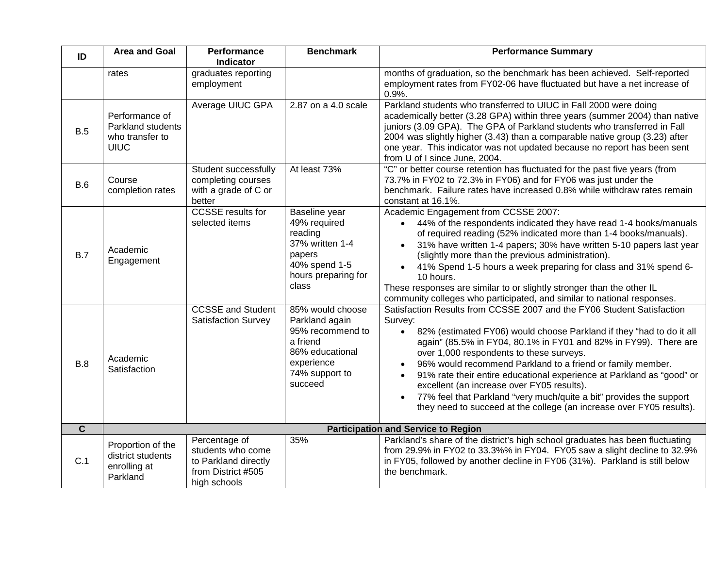| ID                      | <b>Area and Goal</b>                                                  | Performance<br><b>Indicator</b>                                                                  | <b>Benchmark</b>                                                                                                                 | <b>Performance Summary</b>                                                                                                                                                                                                                                                                                                                                                                                                                                                                                                                                                                                                                           |
|-------------------------|-----------------------------------------------------------------------|--------------------------------------------------------------------------------------------------|----------------------------------------------------------------------------------------------------------------------------------|------------------------------------------------------------------------------------------------------------------------------------------------------------------------------------------------------------------------------------------------------------------------------------------------------------------------------------------------------------------------------------------------------------------------------------------------------------------------------------------------------------------------------------------------------------------------------------------------------------------------------------------------------|
|                         | rates                                                                 | graduates reporting<br>employment                                                                |                                                                                                                                  | months of graduation, so the benchmark has been achieved. Self-reported<br>employment rates from FY02-06 have fluctuated but have a net increase of<br>0.9%.                                                                                                                                                                                                                                                                                                                                                                                                                                                                                         |
| B.5                     | Performance of<br>Parkland students<br>who transfer to<br><b>UIUC</b> | Average UIUC GPA                                                                                 | 2.87 on a 4.0 scale                                                                                                              | Parkland students who transferred to UIUC in Fall 2000 were doing<br>academically better (3.28 GPA) within three years (summer 2004) than native<br>juniors (3.09 GPA). The GPA of Parkland students who transferred in Fall<br>2004 was slightly higher (3.43) than a comparable native group (3.23) after<br>one year. This indicator was not updated because no report has been sent<br>from U of I since June, 2004.                                                                                                                                                                                                                             |
| B.6                     | Course<br>completion rates                                            | Student successfully<br>completing courses<br>with a grade of C or<br>better                     | At least 73%                                                                                                                     | "C" or better course retention has fluctuated for the past five years (from<br>73.7% in FY02 to 72.3% in FY06) and for FY06 was just under the<br>benchmark. Failure rates have increased 0.8% while withdraw rates remain<br>constant at 16.1%.                                                                                                                                                                                                                                                                                                                                                                                                     |
| B.7                     | Academic<br>Engagement                                                | <b>CCSSE</b> results for<br>selected items                                                       | Baseline year<br>49% required<br>reading<br>37% written 1-4<br>papers<br>40% spend 1-5<br>hours preparing for<br>class           | Academic Engagement from CCSSE 2007:<br>44% of the respondents indicated they have read 1-4 books/manuals<br>$\bullet$<br>of required reading (52% indicated more than 1-4 books/manuals).<br>31% have written 1-4 papers; 30% have written 5-10 papers last year<br>$\bullet$<br>(slightly more than the previous administration).<br>41% Spend 1-5 hours a week preparing for class and 31% spend 6-<br>$\bullet$<br>10 hours.<br>These responses are similar to or slightly stronger than the other IL<br>community colleges who participated, and similar to national responses.                                                                 |
| B.8                     | Academic<br>Satisfaction                                              | <b>CCSSE and Student</b><br><b>Satisfaction Survey</b>                                           | 85% would choose<br>Parkland again<br>95% recommend to<br>a friend<br>86% educational<br>experience<br>74% support to<br>succeed | Satisfaction Results from CCSSE 2007 and the FY06 Student Satisfaction<br>Survey:<br>82% (estimated FY06) would choose Parkland if they "had to do it all<br>$\bullet$<br>again" (85.5% in FY04, 80.1% in FY01 and 82% in FY99). There are<br>over 1,000 respondents to these surveys.<br>96% would recommend Parkland to a friend or family member.<br>91% rate their entire educational experience at Parkland as "good" or<br>$\bullet$<br>excellent (an increase over FY05 results).<br>77% feel that Parkland "very much/quite a bit" provides the support<br>$\bullet$<br>they need to succeed at the college (an increase over FY05 results). |
| $\overline{\mathbf{c}}$ |                                                                       |                                                                                                  |                                                                                                                                  | <b>Participation and Service to Region</b>                                                                                                                                                                                                                                                                                                                                                                                                                                                                                                                                                                                                           |
| C.1                     | Proportion of the<br>district students<br>enrolling at<br>Parkland    | Percentage of<br>students who come<br>to Parkland directly<br>from District #505<br>high schools | 35%                                                                                                                              | Parkland's share of the district's high school graduates has been fluctuating<br>from 29.9% in FY02 to 33.3%% in FY04. FY05 saw a slight decline to 32.9%<br>in FY05, followed by another decline in FY06 (31%). Parkland is still below<br>the benchmark.                                                                                                                                                                                                                                                                                                                                                                                           |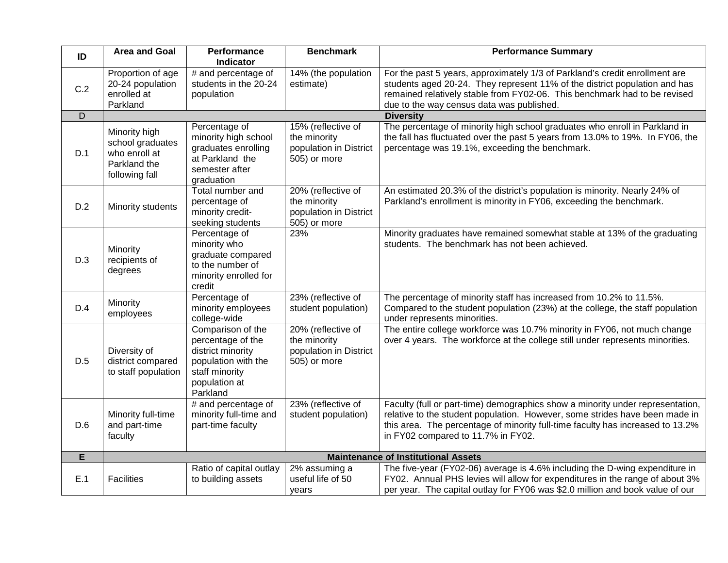| ID  | <b>Area and Goal</b>                                                                 | Performance<br><b>Indicator</b>                                                                                                   | <b>Benchmark</b>                                                               | <b>Performance Summary</b>                                                                                                                                                                                                                                                            |
|-----|--------------------------------------------------------------------------------------|-----------------------------------------------------------------------------------------------------------------------------------|--------------------------------------------------------------------------------|---------------------------------------------------------------------------------------------------------------------------------------------------------------------------------------------------------------------------------------------------------------------------------------|
| C.2 | Proportion of age<br>20-24 population<br>enrolled at<br>Parkland                     | # and percentage of<br>students in the 20-24<br>population                                                                        | 14% (the population<br>estimate)                                               | For the past 5 years, approximately 1/3 of Parkland's credit enrollment are<br>students aged 20-24. They represent 11% of the district population and has<br>remained relatively stable from FY02-06. This benchmark had to be revised<br>due to the way census data was published.   |
| D   |                                                                                      |                                                                                                                                   |                                                                                | <b>Diversity</b>                                                                                                                                                                                                                                                                      |
| D.1 | Minority high<br>school graduates<br>who enroll at<br>Parkland the<br>following fall | Percentage of<br>minority high school<br>graduates enrolling<br>at Parkland the<br>semester after<br>graduation                   | 15% (reflective of<br>the minority<br>population in District<br>505) or more   | The percentage of minority high school graduates who enroll in Parkland in<br>the fall has fluctuated over the past 5 years from 13.0% to 19%. In FY06, the<br>percentage was 19.1%, exceeding the benchmark.                                                                         |
| D.2 | Minority students                                                                    | Total number and<br>percentage of<br>minority credit-<br>seeking students                                                         | $20%$ (reflective of<br>the minority<br>population in District<br>505) or more | An estimated 20.3% of the district's population is minority. Nearly 24% of<br>Parkland's enrollment is minority in FY06, exceeding the benchmark.                                                                                                                                     |
| D.3 | Minority<br>recipients of<br>degrees                                                 | Percentage of<br>minority who<br>graduate compared<br>to the number of<br>minority enrolled for<br>credit                         | 23%                                                                            | Minority graduates have remained somewhat stable at 13% of the graduating<br>students. The benchmark has not been achieved.                                                                                                                                                           |
| D.4 | Minority<br>employees                                                                | Percentage of<br>minority employees<br>college-wide                                                                               | 23% (reflective of<br>student population)                                      | The percentage of minority staff has increased from 10.2% to 11.5%.<br>Compared to the student population (23%) at the college, the staff population<br>under represents minorities.                                                                                                  |
| D.5 | Diversity of<br>district compared<br>to staff population                             | Comparison of the<br>percentage of the<br>district minority<br>population with the<br>staff minority<br>population at<br>Parkland | 20% (reflective of<br>the minority<br>population in District<br>505) or more   | The entire college workforce was 10.7% minority in FY06, not much change<br>over 4 years. The workforce at the college still under represents minorities.                                                                                                                             |
| D.6 | Minority full-time<br>and part-time<br>faculty                                       | # and percentage of<br>minority full-time and<br>part-time faculty                                                                | 23% (reflective of<br>student population)                                      | Faculty (full or part-time) demographics show a minority under representation,<br>relative to the student population. However, some strides have been made in<br>this area. The percentage of minority full-time faculty has increased to 13.2%<br>in FY02 compared to 11.7% in FY02. |
| E   | <b>Maintenance of Institutional Assets</b>                                           |                                                                                                                                   |                                                                                |                                                                                                                                                                                                                                                                                       |
| E.1 | <b>Facilities</b>                                                                    | Ratio of capital outlay<br>to building assets                                                                                     | 2% assuming a<br>useful life of 50<br>years                                    | The five-year (FY02-06) average is 4.6% including the D-wing expenditure in<br>FY02. Annual PHS levies will allow for expenditures in the range of about 3%<br>per year. The capital outlay for FY06 was \$2.0 million and book value of our                                          |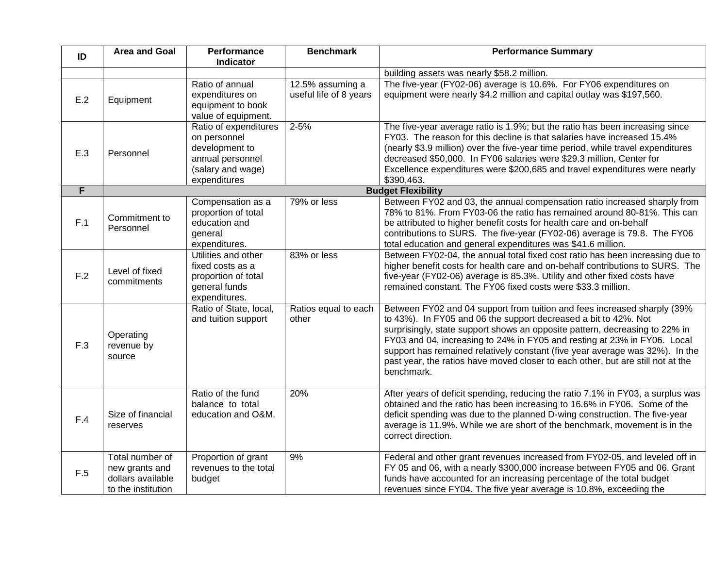| ID  | <b>Area and Goal</b>                                                         | Performance<br>Indicator                                                                                         | <b>Benchmark</b>                           | <b>Performance Summary</b>                                                                                                                                                                                                                                                                                                                                                                                                                                                              |
|-----|------------------------------------------------------------------------------|------------------------------------------------------------------------------------------------------------------|--------------------------------------------|-----------------------------------------------------------------------------------------------------------------------------------------------------------------------------------------------------------------------------------------------------------------------------------------------------------------------------------------------------------------------------------------------------------------------------------------------------------------------------------------|
|     |                                                                              |                                                                                                                  |                                            | building assets was nearly \$58.2 million.                                                                                                                                                                                                                                                                                                                                                                                                                                              |
| E.2 | Equipment                                                                    | Ratio of annual<br>expenditures on<br>equipment to book<br>value of equipment.                                   | 12.5% assuming a<br>useful life of 8 years | The five-year (FY02-06) average is 10.6%. For FY06 expenditures on<br>equipment were nearly \$4.2 million and capital outlay was \$197,560.                                                                                                                                                                                                                                                                                                                                             |
| E.3 | Personnel                                                                    | Ratio of expenditures<br>on personnel<br>development to<br>annual personnel<br>(salary and wage)<br>expenditures | $2 - 5%$                                   | The five-year average ratio is 1.9%; but the ratio has been increasing since<br>FY03. The reason for this decline is that salaries have increased 15.4%<br>(nearly \$3.9 million) over the five-year time period, while travel expenditures<br>decreased \$50,000. In FY06 salaries were \$29.3 million, Center for<br>Excellence expenditures were \$200,685 and travel expenditures were nearly<br>\$390,463.                                                                         |
| F   |                                                                              |                                                                                                                  |                                            | <b>Budget Flexibility</b>                                                                                                                                                                                                                                                                                                                                                                                                                                                               |
| F.1 | Commitment to<br>Personnel                                                   | Compensation as a<br>proportion of total<br>education and<br>general<br>expenditures.                            | 79% or less                                | Between FY02 and 03, the annual compensation ratio increased sharply from<br>78% to 81%. From FY03-06 the ratio has remained around 80-81%. This can<br>be attributed to higher benefit costs for health care and on-behalf<br>contributions to SURS. The five-year (FY02-06) average is 79.8. The FY06<br>total education and general expenditures was \$41.6 million.                                                                                                                 |
| F.2 | Level of fixed<br>commitments                                                | Utilities and other<br>fixed costs as a<br>proportion of total<br>general funds<br>expenditures.                 | 83% or less                                | Between FY02-04, the annual total fixed cost ratio has been increasing due to<br>higher benefit costs for health care and on-behalf contributions to SURS. The<br>five-year (FY02-06) average is 85.3%. Utility and other fixed costs have<br>remained constant. The FY06 fixed costs were \$33.3 million.                                                                                                                                                                              |
| F.3 | Operating<br>revenue by<br>source                                            | Ratio of State, local,<br>and tuition support                                                                    | Ratios equal to each<br>other              | Between FY02 and 04 support from tuition and fees increased sharply (39%<br>to 43%). In FY05 and 06 the support decreased a bit to 42%. Not<br>surprisingly, state support shows an opposite pattern, decreasing to 22% in<br>FY03 and 04, increasing to 24% in FY05 and resting at 23% in FY06. Local<br>support has remained relatively constant (five year average was 32%). In the<br>past year, the ratios have moved closer to each other, but are still not at the<br>benchmark. |
| F.4 | Size of financial<br>reserves                                                | Ratio of the fund<br>balance to total<br>education and O&M.                                                      | 20%                                        | After years of deficit spending, reducing the ratio 7.1% in FY03, a surplus was<br>obtained and the ratio has been increasing to 16.6% in FY06. Some of the<br>deficit spending was due to the planned D-wing construction. The five-year<br>average is 11.9%. While we are short of the benchmark, movement is in the<br>correct direction.                                                                                                                                            |
| F.5 | Total number of<br>new grants and<br>dollars available<br>to the institution | Proportion of grant<br>revenues to the total<br>budget                                                           | 9%                                         | Federal and other grant revenues increased from FY02-05, and leveled off in<br>FY 05 and 06, with a nearly \$300,000 increase between FY05 and 06. Grant<br>funds have accounted for an increasing percentage of the total budget<br>revenues since FY04. The five year average is 10.8%, exceeding the                                                                                                                                                                                 |